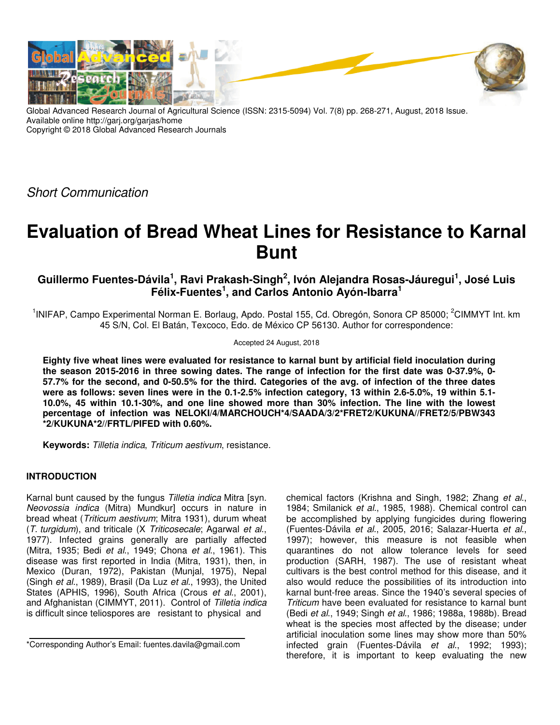

Global Advanced Research Journal of Agricultural Science (ISSN: 2315-5094) Vol. 7(8) pp. 268-271, August, 2018 Issue. Available online http://garj.org/garjas/home Copyright © 2018 Global Advanced Research Journals

Short Communication

# **Evaluation of Bread Wheat Lines for Resistance to Karnal Bunt**

**Guillermo Fuentes-Dávila<sup>1</sup> , Ravi Prakash-Singh<sup>2</sup> , Ivón Alejandra Rosas-Jáuregui<sup>1</sup> , José Luis Félix-Fuentes<sup>1</sup> , and Carlos Antonio Ayón-Ibarra<sup>1</sup>**

<sup>1</sup>INIFAP, Campo Experimental Norman E. Borlaug, Apdo. Postal 155, Cd. Obregón, Sonora CP 85000; <sup>2</sup>CIMMYT Int. km 45 S/N, Col. El Batán, Texcoco, Edo. de México CP 56130. Author for correspondence:

Accepted 24 August, 2018

**Eighty five wheat lines were evaluated for resistance to karnal bunt by artificial field inoculation during the season 2015-2016 in three sowing dates. The range of infection for the first date was 0-37.9%, 0- 57.7% for the second, and 0-50.5% for the third. Categories of the avg. of infection of the three dates were as follows: seven lines were in the 0.1-2.5% infection category, 13 within 2.6-5.0%, 19 within 5.1- 10.0%, 45 within 10.1-30%, and one line showed more than 30% infection. The line with the lowest percentage of infection was NELOKI/4/MARCHOUCH\*4/SAADA/3/2\*FRET2/KUKUNA//FRET2/5/PBW343 \*2/KUKUNA\*2//FRTL/PIFED with 0.60%.** 

**Keywords:** Tilletia indica, Triticum aestivum, resistance.

# **INTRODUCTION**

Karnal bunt caused by the fungus Tilletia indica Mitra [syn. Neovossia indica (Mitra) Mundkur] occurs in nature in bread wheat (Triticum aestivum; Mitra 1931), durum wheat (T. turgidum), and triticale (X Triticosecale; Agarwal et al., 1977). Infected grains generally are partially affected (Mitra, 1935; Bedi et al., 1949; Chona et al., 1961). This disease was first reported in India (Mitra, 1931), then, in Mexico (Duran, 1972), Pakistan (Munjal, 1975), Nepal (Singh et al., 1989), Brasil (Da Luz et al., 1993), the United States (APHIS, 1996), South Africa (Crous et al., 2001), and Afghanistan (CIMMYT, 2011). Control of Tilletia indica is difficult since teliospores are resistant to physical and

chemical factors (Krishna and Singh, 1982; Zhang et al., 1984; Smilanick et al., 1985, 1988). Chemical control can be accomplished by applying fungicides during flowering (Fuentes-Dávila et al., 2005, 2016; Salazar-Huerta et al., 1997); however, this measure is not feasible when quarantines do not allow tolerance levels for seed production (SARH, 1987). The use of resistant wheat cultivars is the best control method for this disease, and it also would reduce the possibilities of its introduction into karnal bunt-free areas. Since the 1940's several species of Triticum have been evaluated for resistance to karnal bunt (Bedi et al., 1949; Singh et al., 1986; 1988a, 1988b). Bread wheat is the species most affected by the disease; under artificial inoculation some lines may show more than 50% infected grain (Fuentes-Dávila et al., 1992; 1993); therefore, it is important to keep evaluating the new

<sup>\*</sup>Corresponding Author's Email: fuentes.davila@gmail.com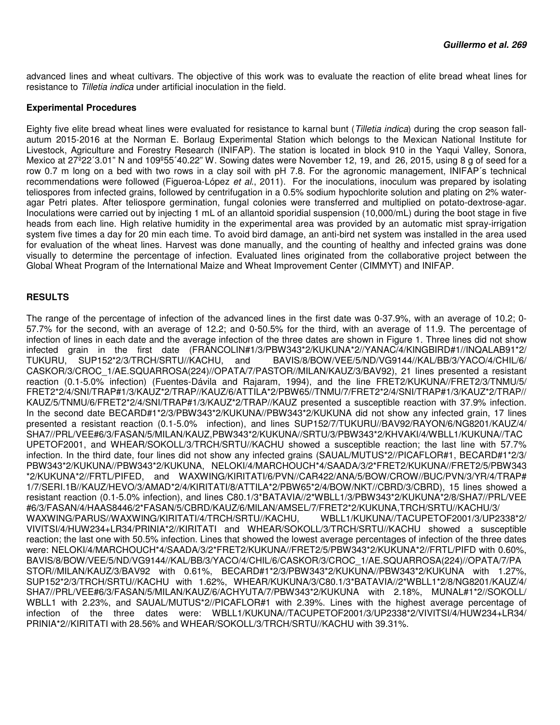advanced lines and wheat cultivars. The objective of this work was to evaluate the reaction of elite bread wheat lines for resistance to Tilletia indica under artificial inoculation in the field.

### **Experimental Procedures**

Eighty five elite bread wheat lines were evaluated for resistance to karnal bunt (Tilletia indica) during the crop season fallautum 2015-2016 at the Norman E. Borlaug Experimental Station which belongs to the Mexican National Institute for Livestock, Agriculture and Forestry Research (INIFAP). The station is located in block 910 in the Yaqui Valley, Sonora, Mexico at 27°22'3.01" N and 109°55'40.22" W. Sowing dates were November 12, 19, and 26, 2015, using 8 g of seed for a row 0.7 m long on a bed with two rows in a clay soil with pH 7.8. For the agronomic management, INIFAP's technical recommendations were followed (Figueroa-López et al., 2011). For the inoculations, inoculum was prepared by isolating teliospores from infected grains, followed by centrifugation in a 0.5% sodium hypochlorite solution and plating on 2% wateragar Petri plates. After teliospore germination, fungal colonies were transferred and multiplied on potato-dextrose-agar. Inoculations were carried out by injecting 1 mL of an allantoid sporidial suspension (10,000/mL) during the boot stage in five heads from each line. High relative humidity in the experimental area was provided by an automatic mist spray-irrigation system five times a day for 20 min each time. To avoid bird damage, an anti-bird net system was installed in the area used for evaluation of the wheat lines. Harvest was done manually, and the counting of healthy and infected grains was done visually to determine the percentage of infection. Evaluated lines originated from the collaborative project between the Global Wheat Program of the International Maize and Wheat Improvement Center (CIMMYT) and INIFAP.

# **RESULTS**

The range of the percentage of infection of the advanced lines in the first date was 0-37.9%, with an average of 10.2; 0- 57.7% for the second, with an average of 12.2; and 0-50.5% for the third, with an average of 11.9. The percentage of infection of lines in each date and the average infection of the three dates are shown in Figure 1. Three lines did not show infected grain in the first date (FRANCOLIN#1/3/PBW343\*2/KUKUNA\*2//YANAC/4/KINGBIRD#1//INQALAB91\*2/ TUKURU, SUP152\*2/3/TRCH/SRTU//KACHU, and BAVIS/8/BOW/VEE/5/ND/VG9144//KAL/BB/3/YACO/4/CHIL/6/ CASKOR/3/CROC\_1/AE.SQUARROSA(224)//OPATA/7/PASTOR//MILAN/KAUZ/3/BAV92), 21 lines presented a resistant reaction (0.1-5.0% infection) (Fuentes-Dávila and Rajaram, 1994), and the line FRET2/KUKUNA//FRET2/3/TNMU/5/ FRET2\*2/4/SNI/TRAP#1/3/KAUZ\*2/TRAP//KAUZ/6/ATTILA\*2/PBW65//TNMU/7/FRET2\*2/4/SNI/TRAP#1/3/KAUZ\*2/TRAP// KAUZ/5/TNMU/6/FRET2\*2/4/SNI/TRAP#1/3/KAUZ\*2/TRAP//KAUZ presented a susceptible reaction with 37.9% infection. In the second date BECARD#1\*2/3/PBW343\*2/KUKUNA//PBW343\*2/KUKUNA did not show any infected grain, 17 lines presented a resistant reaction (0.1-5.0% infection), and lines SUP152/7/TUKURU//BAV92/RAYON/6/NG8201/KAUZ/4/ SHA7//PRL/VEE#6/3/FASAN/5/MILAN/KAUZ,PBW343\*2/KUKUNA//SRTU/3/PBW343\*2/KHVAKI/4/WBLL1/KUKUNA//TAC UPETOF2001, and WHEAR/SOKOLL/3/TRCH/SRTU//KACHU showed a susceptible reaction; the last line with 57.7% infection. In the third date, four lines did not show any infected grains (SAUAL/MUTUS\*2//PICAFLOR#1, BECARD#1\*2/3/ PBW343\*2/KUKUNA//PBW343\*2/KUKUNA, NELOKI/4/MARCHOUCH\*4/SAADA/3/2\*FRET2/KUKUNA//FRET2/5/PBW343 \*2/KUKUNA\*2//FRTL/PIFED, and WAXWING/KIRITATI/6/PVN//CAR422/ANA/5/BOW/CROW//BUC/PVN/3/YR/4/TRAP# 1/7/SERI.1B//KAUZ/HEVO/3/AMAD\*2/4/KIRITATI/8/ATTILA\*2/PBW65\*2/4/BOW/NKT//CBRD/3/CBRD), 15 lines showed a resistant reaction (0.1-5.0% infection), and lines C80.1/3\*BATAVIA//2\*WBLL1/3/PBW343\*2/KUKUNA\*2/8/SHA7//PRL/VEE #6/3/FASAN/4/HAAS8446/2\*FASAN/5/CBRD/KAUZ/6/MILAN/AMSEL/7/FRET2\*2/KUKUNA,TRCH/SRTU//KACHU/3/<br>WAXWING/PARUS//WAXWING/KIRITATI/4/TRCH/SRTU//KACHU, WBLL1/KUKUNA//TACUPETOF2001/3/UP2338\*2/ WAXWING/PARUS//WAXWING/KIRITATI/4/TRCH/SRTU//KACHU, VIVITSI/4/HUW234+LR34/PRINIA\*2//KIRITATI and WHEAR/SOKOLL/3/TRCH/SRTU//KACHU showed a susceptible reaction; the last one with 50.5% infection. Lines that showed the lowest average percentages of infection of the three dates were: NELOKI/4/MARCHOUCH\*4/SAADA/3/2\*FRET2/KUKUNA//FRET2/5/PBW343\*2/KUKUNA\*2//FRTL/PIFD with 0.60%, BAVIS/8/BOW/VEE/5/ND/VG9144//KAL/BB/3/YACO/4/CHIL/6/CASKOR/3/CROC\_1/AE.SQUARROSA(224)//OPATA/7/PA STOR//MILAN/KAUZ/3/BAV92 with 0.61%, BECARD#1\*2/3/PBW343\*2/KUKUNA//PBW343\*2/KUKUNA with 1.27%, SUP152\*2/3/TRCH/SRTU//KACHU with 1.62%, WHEAR/KUKUNA/3/C80.1/3\*BATAVIA//2\*WBLL1\*2/8/NG8201/KAUZ/4/ SHA7//PRL/VEE#6/3/FASAN/5/MILAN/KAUZ/6/ACHYUTA/7/PBW343\*2/KUKUNA with 2.18%, MUNAL#1\*2//SOKOLL/ WBLL1 with 2.23%, and SAUAL/MUTUS\*2//PICAFLOR#1 with 2.39%. Lines with the highest average percentage of infection of the three dates were: WBLL1/KUKUNA//TACUPETOF2001/3/UP2338\*2/VIVITSI/4/HUW234+LR34/ PRINIA\*2//KIRITATI with 28.56% and WHEAR/SOKOLL/3/TRCH/SRTU//KACHU with 39.31%.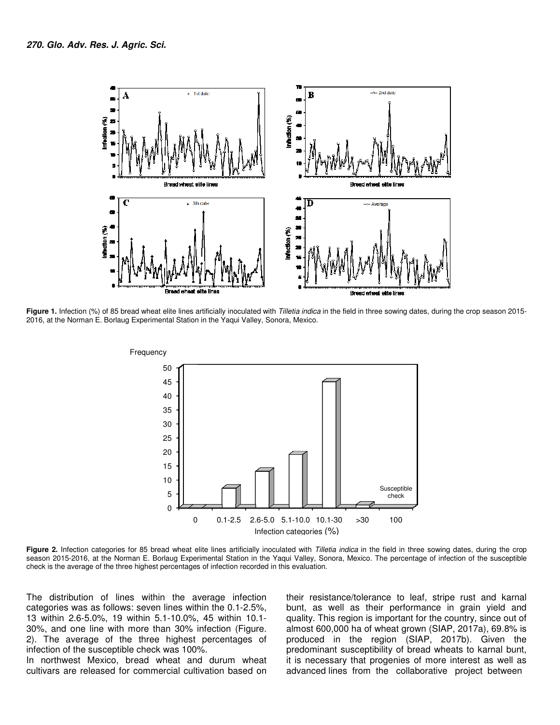

Figure 1. Infection (%) of 85 bread wheat elite lines artificially inoculated with Tilletia indica in the field in three sowing dates, during the crop season 2015-2016, at the Norman E. Borlaug Experimental Station in the Yaqui Valley, Sonora, Mexico.



Figure 2. Infection categories for 85 bread wheat elite lines artificially inoculated with Tilletia indica in the field in three sowing dates, during the crop season 2015-2016, at the Norman E. Borlaug Experimental Station in the Yaqui Valley, Sonora, Mexico. The percentage of infection of the susceptible check is the average of the three highest percentages of infection recorded in this evaluation.

The distribution of lines within the average infection categories was as follows: seven lines within the 0.1-2.5%, 13 within 2.6-5.0%, 19 within 5.1-10.0%, 45 within 10.1- 30%, and one line with more than 30% infection (Figure. 2). The average of the three highest percentages of infection of the susceptible check was 100%.

In northwest Mexico, bread wheat and durum wheat cultivars are released for commercial cultivation based on

their resistance/tolerance to leaf, stripe rust and karnal bunt, as well as their performance in grain yield and quality. This region is important for the country, since out of almost 600,000 ha of wheat grown (SIAP, 2017a), 69.8% is produced in the region (SIAP, 2017b). Given the predominant susceptibility of bread wheats to karnal bunt, it is necessary that progenies of more interest as well as advanced lines from the collaborative project between